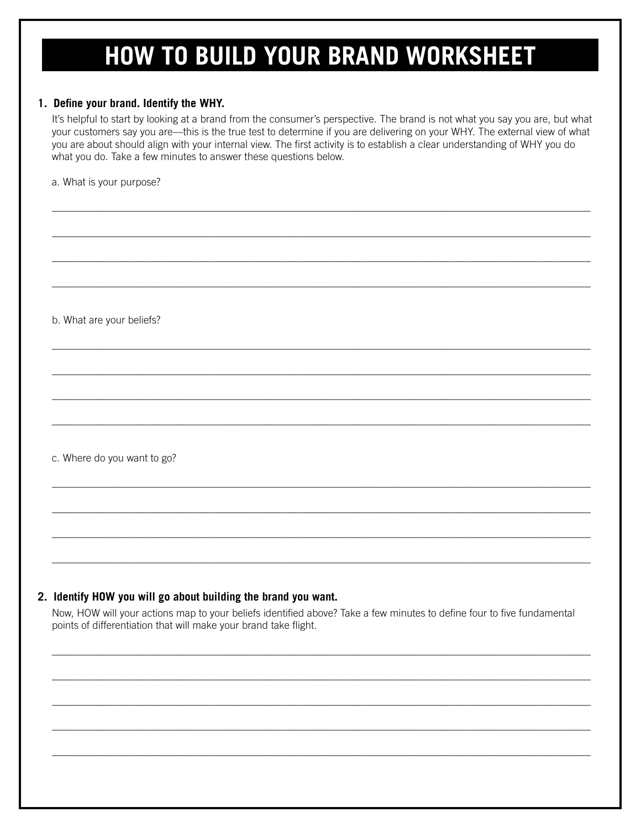## **HOW TO BUILD YOUR BRAND WORKSHEET**

## 1. Define your brand. Identify the WHY.

It's helpful to start by looking at a brand from the consumer's perspective. The brand is not what you say you are, but what your customers say you are-this is the true test to determine if you are delivering on your WHY. The external view of what you are about should align with your internal view. The first activity is to establish a clear understanding of WHY you do what you do. Take a few minutes to answer these questions below.

a. What is your purpose?

b. What are your beliefs?

c. Where do you want to go?

## 2. Identify HOW you will go about building the brand you want.

Now, HOW will your actions map to your beliefs identified above? Take a few minutes to define four to five fundamental points of differentiation that will make your brand take flight.